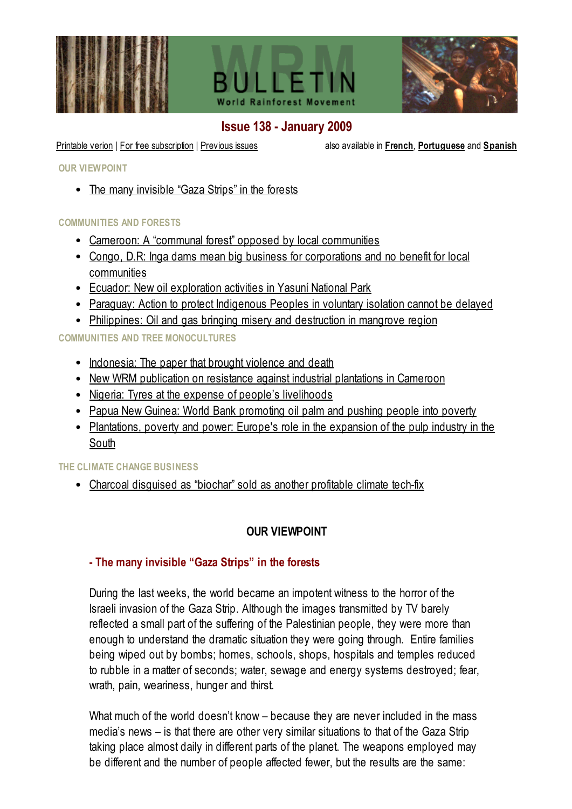





# <span id="page-0-1"></span>Issue 138 - January 2009

[Printable](file:///C:/Web/bulletin/138/Bulletin138.pdf) verion | For free [subscription](file:///C:/Web/bulletin/susbcription.html) | [Previous](file:///C:/Web/bulletin/previous.html) issues also available in [French](file:///C:/Web/bulletinfr/138/vue.html), [Portuguese](file:///C:/Web/boletim/138/opiniao.html) and [Spanish](file:///C:/Web/boletin/138/opinion.html)

OUR VIEWPOINT

• The many [invisible](#page-0-0) "Gaza Strips" in the forests

#### COMMUNITIES AND FORESTS

- Cameroon: A "communal forest" opposed by local [communities](#page-2-0)
- Congo, D.R: Inga dams mean big business for corporations and no benefit for local [communities](#page-3-0)
- Ecuador: New oil [exploration](#page-5-0) activities in Yasuní National Park
- Paraguay: Action to protect [Indigenous](#page-6-0) Peoples in voluntary isolation cannot be delayed
- [Philippines:](#page-7-0) Oil and gas bringing misery and destruction in mangrove region

COMMUNITIES AND TREE MONOCULTURES

- [Indonesia:](#page-9-0) The paper that brought violence and death
- New WRM [publication](#page-10-0) on resistance against industrial plantations in Cameroon
- Nigeria: Tyres at the expense of people's [livelihoods](#page-12-0)
- Papua New Guinea: World Bank [promoting](#page-15-0) oil palm and pushing people into poverty
- [Plantations,](#page-17-0) poverty and power: Europe's role in the expansion of the pulp industry in the South

#### THE CLIMATE CHANGE BUSINESS

• Charcoal disquised as "biochar" sold as another profitable climate tech-fix

### OUR VIEWPOINT

### <span id="page-0-0"></span>- The many invisible "Gaza Strips" in the forests

During the last weeks, the world became an impotent witness to the horror of the Israeli invasion of the Gaza Strip. Although the images transmitted by TV barely reflected a small part of the suffering of the Palestinian people, they were more than enough to understand the dramatic situation they were going through. Entire families being wiped out by bombs; homes, schools, shops, hospitals and temples reduced to rubble in a matter of seconds; water, sewage and energy systems destroyed; fear, wrath, pain, weariness, hunger and thirst.

What much of the world doesn't know – because they are never included in the mass media's news – is that there are other very similar situations to that of the Gaza Strip taking place almost daily in different parts of the planet. The weapons employed may be different and the number of people affected fewer, but the results are the same: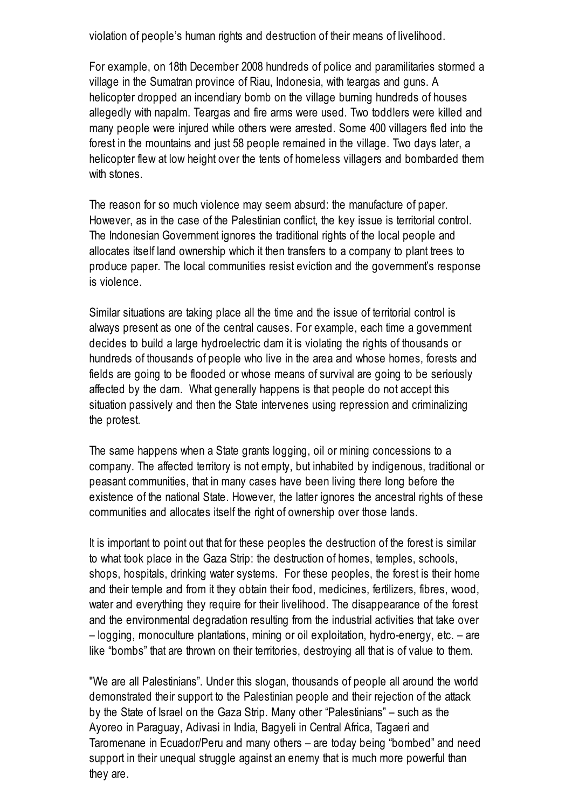violation of people's human rights and destruction of their means of livelihood.

For example, on 18th December 2008 hundreds of police and paramilitaries stormed a village in the Sumatran province of Riau, Indonesia, with teargas and guns. A helicopter dropped an incendiary bomb on the village burning hundreds of houses allegedly with napalm. Teargas and fire arms were used. Two toddlers were killed and many people were injured while others were arrested. Some 400 villagers fled into the forest in the mountains and just 58 people remained in the village. Two days later, a helicopter flew at low height over the tents of homeless villagers and bombarded them with stones.

The reason for so much violence may seem absurd: the manufacture of paper. However, as in the case of the Palestinian conflict, the key issue is territorial control. The Indonesian Government ignores the traditional rights of the local people and allocates itself land ownership which it then transfers to a company to plant trees to produce paper. The local communities resist eviction and the government's response is violence.

Similar situations are taking place all the time and the issue of territorial control is always present as one of the central causes. For example, each time a government decides to build a large hydroelectric dam it is violating the rights of thousands or hundreds of thousands of people who live in the area and whose homes, forests and fields are going to be flooded or whose means of survival are going to be seriously affected by the dam. What generally happens is that people do not accept this situation passively and then the State intervenes using repression and criminalizing the protest.

The same happens when a State grants logging, oil or mining concessions to a company. The affected territory is not empty, but inhabited by indigenous, traditional or peasant communities, that in many cases have been living there long before the existence of the national State. However, the latter ignores the ancestral rights of these communities and allocates itself the right of ownership over those lands.

It is important to point out that for these peoples the destruction of the forest is similar to what took place in the Gaza Strip: the destruction of homes, temples, schools, shops, hospitals, drinking water systems. For these peoples, the forest is their home and their temple and from it they obtain their food, medicines, fertilizers, fibres, wood, water and everything they require for their livelihood. The disappearance of the forest and the environmental degradation resulting from the industrial activities that take over – logging, monoculture plantations, mining or oil exploitation, hydro-energy, etc. – are like "bombs" that are thrown on their territories, destroying all that is of value to them.

"We are all Palestinians". Under this slogan, thousands of people all around the world demonstrated their support to the Palestinian people and their rejection of the attack by the State of Israel on the Gaza Strip. Many other "Palestinians" – such as the Ayoreo in Paraguay, Adivasi in India, Bagyeli in Central Africa, Tagaeri and Taromenane in Ecuador/Peru and many others – are today being "bombed" and need support in their unequal struggle against an enemy that is much more powerful than they are.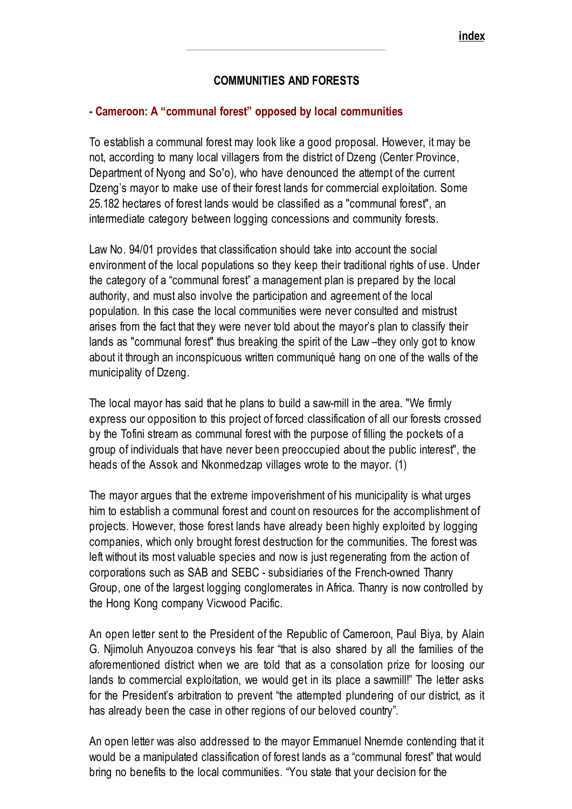### COMMUNITIES AND FORESTS

#### <span id="page-2-0"></span>- Cameroon: A "communal forest" opposed by local communities

To establish a communal forest may look like a good proposal. However, it may be not, according to many local villagers from the district of Dzeng (Center Province, Department of Nyong and So'o), who have denounced the attempt of the current Dzeng's mayor to make use of their forest lands for commercial exploitation. Some 25.182 hectares of forest lands would be classified as a "communal forest", an intermediate category between logging concessions and community forests.

Law No. 94/01 provides that classification should take into account the social environment of the local populations so they keep their traditional rights of use. Under the category of a "communal forest" a management plan is prepared by the local authority, and must also involve the participation and agreement of the local population. In this case the local communities were never consulted and mistrust arises from the fact that they were never told about the mayor's plan to classify their lands as "communal forest" thus breaking the spirit of the Law –they only got to know about it through an inconspicuous written communiqué hang on one of the walls of the municipality of Dzeng.

The local mayor has said that he plans to build a saw-mill in the area. "We firmly express our opposition to this project of forced classification of all our forests crossed by the Tofini stream as communal forest with the purpose of filling the pockets of a group of individuals that have never been preoccupied about the public interest", the heads of the Assok and Nkonmedzap villages wrote to the mayor. (1)

The mayor argues that the extreme impoverishment of his municipality is what urges him to establish a communal forest and count on resources for the accomplishment of projects. However, those forest lands have already been highly exploited by logging companies, which only brought forest destruction for the communities. The forest was left without its most valuable species and now is just regenerating from the action of corporations such as SAB and SEBC - subsidiaries of the French-owned Thanry Group, one of the largest logging conglomerates in Africa. Thanry is now controlled by the Hong Kong company Vicwood Pacific.

An open letter sent to the President of the Republic of Cameroon, Paul Biya, by Alain G. Njimoluh Anyouzoa conveys his fear "that is also shared by all the families of the aforementioned district when we are told that as a consolation prize for loosing our lands to commercial exploitation, we would get in its place a sawmill!" The letter asks for the President's arbitration to prevent "the attempted plundering of our district, as it has already been the case in other regions of our beloved country".

An open letter was also addressed to the mayor Emmanuel Nnemde contending that it would be a manipulated classification of forest lands as a "communal forest" that would bring no benefits to the local communities. "You state that your decision for the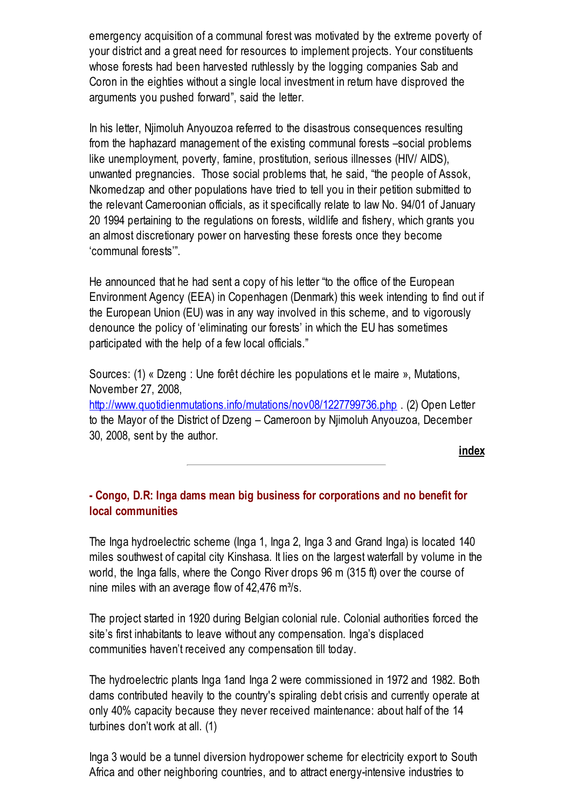emergency acquisition of a communal forest was motivated by the extreme poverty of your district and a great need for resources to implement projects. Your constituents whose forests had been harvested ruthlessly by the logging companies Sab and Coron in the eighties without a single local investment in return have disproved the arguments you pushed forward", said the letter.

In his letter, Njimoluh Anyouzoa referred to the disastrous consequences resulting from the haphazard management of the existing communal forests –social problems like unemployment, poverty, famine, prostitution, serious illnesses (HIV/ AIDS), unwanted pregnancies. Those social problems that, he said, "the people of Assok, Nkomedzap and other populations have tried to tell you in their petition submitted to the relevant Cameroonian officials, as it specifically relate to law No. 94/01 of January 20 1994 pertaining to the regulations on forests, wildlife and fishery, which grants you an almost discretionary power on harvesting these forests once they become 'communal forests'".

He announced that he had sent a copy of his letter "to the office of the European Environment Agency (EEA) in Copenhagen (Denmark) this week intending to find out if the European Union (EU) was in any way involved in this scheme, and to vigorously denounce the policy of 'eliminating our forests' in which the EU has sometimes participated with the help of a few local officials."

Sources: (1) « Dzeng : Une forêt déchire les populations et le maire », Mutations, November 27, 2008,

<http://www.quotidienmutations.info/mutations/nov08/1227799736.php> (2) Open Letter to the Mayor of the District of Dzeng – Cameroon by Njimoluh Anyouzoa, December 30, 2008, sent by the author.

[index](#page-0-1)

### <span id="page-3-0"></span>- Congo, D.R: Inga dams mean big business for corporations and no benefit for local communities

The Inga hydroelectric scheme (Inga 1, Inga 2, Inga 3 and Grand Inga) is located 140 miles southwest of capital city Kinshasa. It lies on the largest waterfall by volume in the world, the Inga falls, where the Congo River drops 96 m (315 ft) over the course of nine miles with an average flow of  $42,476$  m<sup>3</sup>/s.

The project started in 1920 during Belgian colonial rule. Colonial authorities forced the site's first inhabitants to leave without any compensation. Inga's displaced communities haven't received any compensation till today.

The hydroelectric plants Inga 1and Inga 2 were commissioned in 1972 and 1982. Both dams contributed heavily to the country's spiraling debt crisis and currently operate at only 40% capacity because they never received maintenance: about half of the 14 turbines don't work at all. (1)

Inga 3 would be a tunnel diversion hydropower scheme for electricity export to South Africa and other neighboring countries, and to attract energy-intensive industries to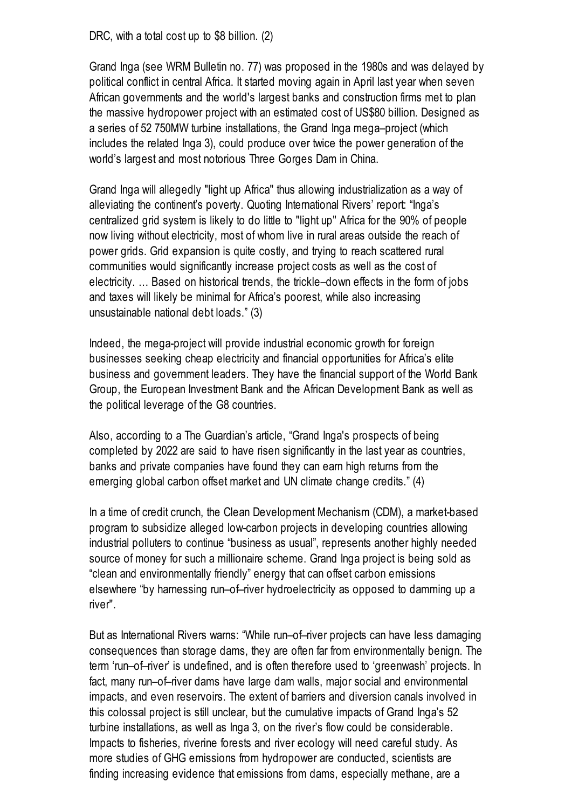DRC, with a total cost up to \$8 billion. (2)

Grand Inga (see WRM Bulletin no. 77) was proposed in the 1980s and was delayed by political conflict in central Africa. It started moving again in April last year when seven African governments and the world's largest banks and construction firms met to plan the massive hydropower project with an estimated cost of US\$80 billion. Designed as a series of 52 750MW turbine installations, the Grand Inga mega–project (which includes the related Inga 3), could produce over twice the power generation of the world's largest and most notorious Three Gorges Dam in China.

Grand Inga will allegedly "light up Africa" thus allowing industrialization as a way of alleviating the continent's poverty. Quoting International Rivers' report: "Inga's centralized grid system is likely to do little to "light up" Africa for the 90% of people now living without electricity, most of whom live in rural areas outside the reach of power grids. Grid expansion is quite costly, and trying to reach scattered rural communities would significantly increase project costs as well as the cost of electricity. … Based on historical trends, the trickle–down effects in the form of jobs and taxes will likely be minimal for Africa's poorest, while also increasing unsustainable national debt loads." (3)

Indeed, the mega-project will provide industrial economic growth for foreign businesses seeking cheap electricity and financial opportunities for Africa's elite business and government leaders. They have the financial support of the World Bank Group, the European Investment Bank and the African Development Bank as well as the political leverage of the G8 countries.

Also, according to a The Guardian's article, "Grand Inga's prospects of being completed by 2022 are said to have risen significantly in the last year as countries, banks and private companies have found they can earn high returns from the emerging global carbon offset market and UN climate change credits." (4)

In a time of credit crunch, the Clean Development Mechanism (CDM), a market-based program to subsidize alleged low-carbon projects in developing countries allowing industrial polluters to continue "business as usual", represents another highly needed source of money for such a millionaire scheme. Grand Inga project is being sold as "clean and environmentally friendly" energy that can offset carbon emissions elsewhere "by harnessing run–of–river hydroelectricity as opposed to damming up a river".

But as International Rivers warns: "While run–of–river projects can have less damaging consequences than storage dams, they are often far from environmentally benign. The term 'run–of–river' is undefined, and is often therefore used to 'greenwash' projects. In fact, many run–of–river dams have large dam walls, major social and environmental impacts, and even reservoirs. The extent of barriers and diversion canals involved in this colossal project is still unclear, but the cumulative impacts of Grand Inga's 52 turbine installations, as well as Inga 3, on the river's flow could be considerable. Impacts to fisheries, riverine forests and river ecology will need careful study. As more studies of GHG emissions from hydropower are conducted, scientists are finding increasing evidence that emissions from dams, especially methane, are a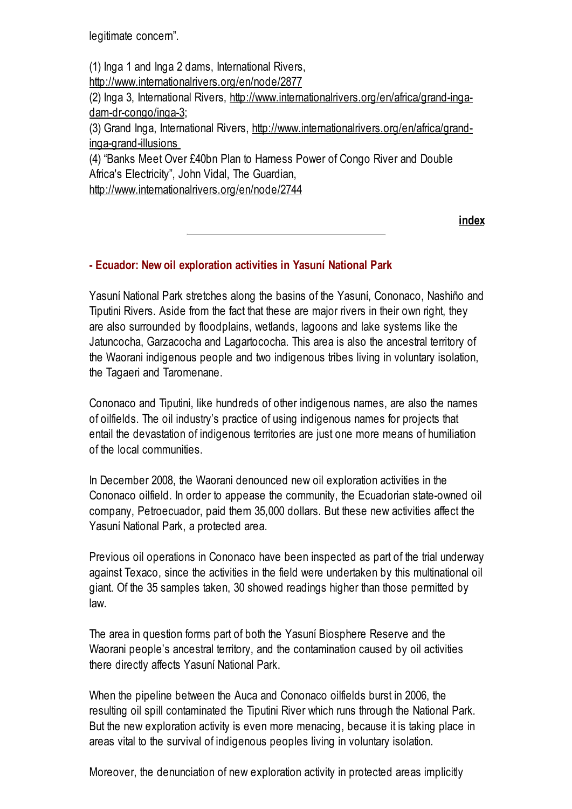legitimate concern".

(1) Inga 1 and Inga 2 dams, International Rivers, <http://www.internationalrivers.org/en/node/2877> (2) Inga 3, International Rivers, [http://www.internationalrivers.org/en/africa/grand-inga](http://www.internationalrivers.org/en/africa/grand-inga-dam-dr-congo/inga-3)dam-dr-congo/inga-3; (3) Grand Inga, International Rivers, [http://www.internationalrivers.org/en/africa/grand](http://www.internationalrivers.org/en/africa/grand-inga-grand-illusions)inga-grand-illusions (4) "Banks Meet Over £40bn Plan to Harness Power of Congo River and Double Africa's Electricity", John Vidal, The Guardian,

<http://www.internationalrivers.org/en/node/2744>

[index](#page-0-1)

#### <span id="page-5-0"></span>- Ecuador: New oil exploration activities in Yasuní National Park

Yasuní National Park stretches along the basins of the Yasuní, Cononaco, Nashiño and Tiputini Rivers. Aside from the fact that these are major rivers in their own right, they are also surrounded by floodplains, wetlands, lagoons and lake systems like the Jatuncocha, Garzacocha and Lagartococha. This area is also the ancestral territory of the Waorani indigenous people and two indigenous tribes living in voluntary isolation, the Tagaeri and Taromenane.

Cononaco and Tiputini, like hundreds of other indigenous names, are also the names of oilfields. The oil industry's practice of using indigenous names for projects that entail the devastation of indigenous territories are just one more means of humiliation of the local communities.

In December 2008, the Waorani denounced new oil exploration activities in the Cononaco oilfield. In order to appease the community, the Ecuadorian state-owned oil company, Petroecuador, paid them 35,000 dollars. But these new activities affect the Yasuní National Park, a protected area.

Previous oil operations in Cononaco have been inspected as part of the trial underway against Texaco, since the activities in the field were undertaken by this multinational oil giant. Of the 35 samples taken, 30 showed readings higher than those permitted by law.

The area in question forms part of both the Yasuní Biosphere Reserve and the Waorani people's ancestral territory, and the contamination caused by oil activities there directly affects Yasuní National Park.

When the pipeline between the Auca and Cononaco oilfields burst in 2006, the resulting oil spill contaminated the Tiputini River which runs through the National Park. But the new exploration activity is even more menacing, because it is taking place in areas vital to the survival of indigenous peoples living in voluntary isolation.

Moreover, the denunciation of new exploration activity in protected areas implicitly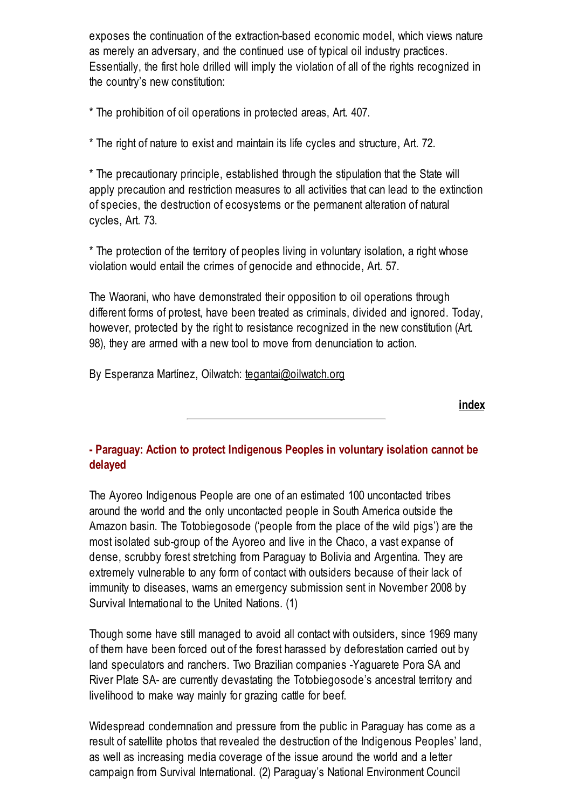exposes the continuation of the extraction-based economic model, which views nature as merely an adversary, and the continued use of typical oil industry practices. Essentially, the first hole drilled will imply the violation of all of the rights recognized in the country's new constitution:

\* The prohibition of oil operations in protected areas, Art. 407.

\* The right of nature to exist and maintain its life cycles and structure, Art. 72.

\* The precautionary principle, established through the stipulation that the State will apply precaution and restriction measures to all activities that can lead to the extinction of species, the destruction of ecosystems or the permanent alteration of natural cycles, Art. 73.

\* The protection of the territory of peoples living in voluntary isolation, a right whose violation would entail the crimes of genocide and ethnocide, Art. 57.

The Waorani, who have demonstrated their opposition to oil operations through different forms of protest, have been treated as criminals, divided and ignored. Today, however, protected by the right to resistance recognized in the new constitution (Art. 98), they are armed with a new tool to move from denunciation to action.

By Esperanza Martínez, Oilwatch: [tegantai@oilwatch.org](mailto:tegantai@oilwatch.org)

[index](#page-0-1)

### <span id="page-6-0"></span>- Paraguay: Action to protect Indigenous Peoples in voluntary isolation cannot be delayed

The Ayoreo Indigenous People are one of an estimated 100 uncontacted tribes around the world and the only uncontacted people in South America outside the Amazon basin. The Totobiegosode ('people from the place of the wild pigs') are the most isolated sub-group of the Ayoreo and live in the Chaco, a vast expanse of dense, scrubby forest stretching from Paraguay to Bolivia and Argentina. They are extremely vulnerable to any form of contact with outsiders because of their lack of immunity to diseases, warns an emergency submission sent in November 2008 by Survival International to the United Nations. (1)

Though some have still managed to avoid all contact with outsiders, since 1969 many of them have been forced out of the forest harassed by deforestation carried out by land speculators and ranchers. Two Brazilian companies -Yaguarete Pora SA and River Plate SA- are currently devastating the Totobiegosode's ancestral territory and livelihood to make way mainly for grazing cattle for beef.

Widespread condemnation and pressure from the public in Paraguay has come as a result of satellite photos that revealed the destruction of the Indigenous Peoples' land, as well as increasing media coverage of the issue around the world and a letter campaign from Survival International. (2) Paraguay's National Environment Council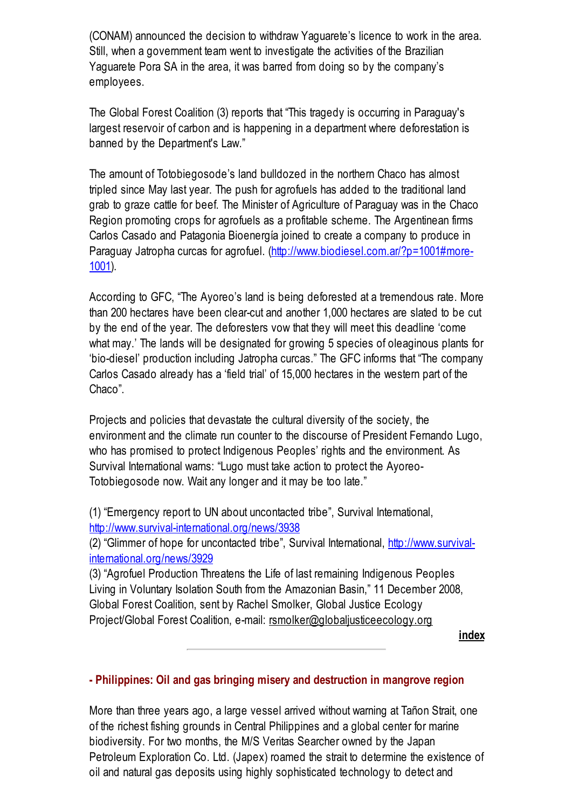(CONAM) announced the decision to withdraw Yaguarete's licence to work in the area. Still, when a government team went to investigate the activities of the Brazilian Yaguarete Pora SA in the area, it was barred from doing so by the company's employees.

The Global Forest Coalition (3) reports that "This tragedy is occurring in Paraguay's largest reservoir of carbon and is happening in a department where deforestation is banned by the Department's Law."

The amount of Totobiegosode's land bulldozed in the northern Chaco has almost tripled since May last year. The push for agrofuels has added to the traditional land grab to graze cattle for beef. The Minister of Agriculture of Paraguay was in the Chaco Region promoting crops for agrofuels as a profitable scheme. The Argentinean firms Carlos Casado and Patagonia Bioenergía joined to create a company to produce in Paraguay Jatropha curcas for agrofuel. [\(http://www.biodiesel.com.ar/?p=1001#more-](http://www.biodiesel.com.ar/?p=1001#more-1001)1001).

According to GFC, "The Ayoreo's land is being deforested at a tremendous rate. More than 200 hectares have been clear-cut and another 1,000 hectares are slated to be cut by the end of the year. The deforesters vow that they will meet this deadline 'come what may.' The lands will be designated for growing 5 species of oleaginous plants for 'bio-diesel' production including Jatropha curcas." The GFC informs that "The company Carlos Casado already has a 'field trial' of 15,000 hectares in the western part of the Chaco".

Projects and policies that devastate the cultural diversity of the society, the environment and the climate run counter to the discourse of President Fernando Lugo, who has promised to protect Indigenous Peoples' rights and the environment. As Survival International warns: "Lugo must take action to protect the Ayoreo-Totobiegosode now. Wait any longer and it may be too late."

(1) "Emergency report to UN about uncontacted tribe", Survival International, <http://www.survival-international.org/news/3938>

(2) "Glimmer of hope for uncontacted tribe", Survival International, http://www.survival[international.org/news/3929](http://www.survival-international.org/news/3929)

(3) "Agrofuel Production Threatens the Life of last remaining Indigenous Peoples Living in Voluntary Isolation South from the Amazonian Basin," 11 December 2008, Global Forest Coalition, sent by Rachel Smolker, Global Justice Ecology Project/Global Forest Coalition, e-mail: [rsmolker@globaljusticeecology.org](mailto:rsmolker@globaljusticeecology.org)

[index](#page-0-1)

### <span id="page-7-0"></span>- Philippines: Oil and gas bringing misery and destruction in mangrove region

More than three years ago, a large vessel arrived without warning at Tañon Strait, one of the richest fishing grounds in Central Philippines and a global center for marine biodiversity. For two months, the M/S Veritas Searcher owned by the Japan Petroleum Exploration Co. Ltd. (Japex) roamed the strait to determine the existence of oil and natural gas deposits using highly sophisticated technology to detect and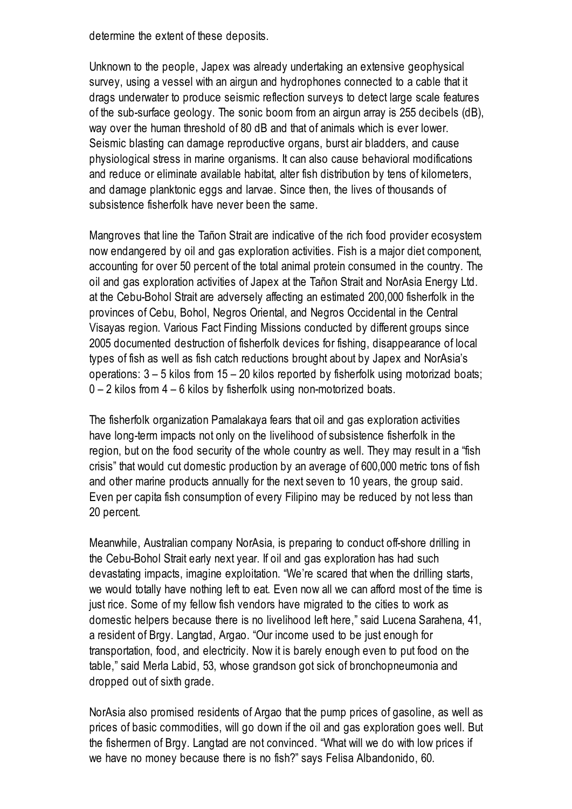determine the extent of these deposits.

Unknown to the people, Japex was already undertaking an extensive geophysical survey, using a vessel with an airgun and hydrophones connected to a cable that it drags underwater to produce seismic reflection surveys to detect large scale features of the sub-surface geology. The sonic boom from an airgun array is 255 decibels (dB), way over the human threshold of 80 dB and that of animals which is ever lower. Seismic blasting can damage reproductive organs, burst air bladders, and cause physiological stress in marine organisms. It can also cause behavioral modifications and reduce or eliminate available habitat, alter fish distribution by tens of kilometers, and damage planktonic eggs and larvae. Since then, the lives of thousands of subsistence fisherfolk have never been the same.

Mangroves that line the Tañon Strait are indicative of the rich food provider ecosystem now endangered by oil and gas exploration activities. Fish is a major diet component, accounting for over 50 percent of the total animal protein consumed in the country. The oil and gas exploration activities of Japex at the Tañon Strait and NorAsia Energy Ltd. at the Cebu-Bohol Strait are adversely affecting an estimated 200,000 fisherfolk in the provinces of Cebu, Bohol, Negros Oriental, and Negros Occidental in the Central Visayas region. Various Fact Finding Missions conducted by different groups since 2005 documented destruction of fisherfolk devices for fishing, disappearance of local types of fish as well as fish catch reductions brought about by Japex and NorAsia's operations: 3 – 5 kilos from 15 – 20 kilos reported by fisherfolk using motorizad boats; 0 – 2 kilos from 4 – 6 kilos by fisherfolk using non-motorized boats.

The fisherfolk organization Pamalakaya fears that oil and gas exploration activities have long-term impacts not only on the livelihood of subsistence fisherfolk in the region, but on the food security of the whole country as well. They may result in a "fish crisis" that would cut domestic production by an average of 600,000 metric tons of fish and other marine products annually for the next seven to 10 years, the group said. Even per capita fish consumption of every Filipino may be reduced by not less than 20 percent.

Meanwhile, Australian company NorAsia, is preparing to conduct off-shore drilling in the Cebu-Bohol Strait early next year. If oil and gas exploration has had such devastating impacts, imagine exploitation. "We're scared that when the drilling starts, we would totally have nothing left to eat. Even now all we can afford most of the time is just rice. Some of my fellow fish vendors have migrated to the cities to work as domestic helpers because there is no livelihood left here," said Lucena Sarahena, 41, a resident of Brgy. Langtad, Argao. "Our income used to be just enough for transportation, food, and electricity. Now it is barely enough even to put food on the table," said Merla Labid, 53, whose grandson got sick of bronchopneumonia and dropped out of sixth grade.

NorAsia also promised residents of Argao that the pump prices of gasoline, as well as prices of basic commodities, will go down if the oil and gas exploration goes well. But the fishermen of Brgy. Langtad are not convinced. "What will we do with low prices if we have no money because there is no fish?" says Felisa Albandonido, 60.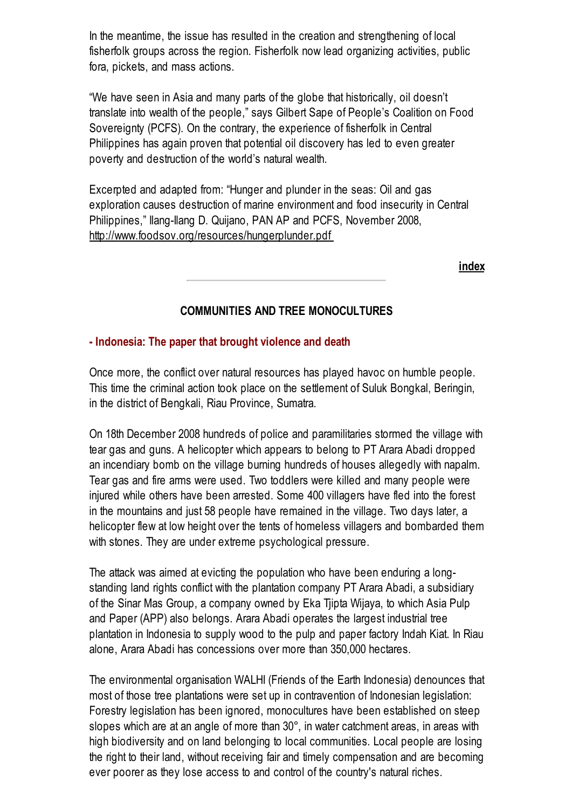In the meantime, the issue has resulted in the creation and strengthening of local fisherfolk groups across the region. Fisherfolk now lead organizing activities, public fora, pickets, and mass actions.

"We have seen in Asia and many parts of the globe that historically, oil doesn't translate into wealth of the people," says Gilbert Sape of People's Coalition on Food Sovereignty (PCFS). On the contrary, the experience of fisherfolk in Central Philippines has again proven that potential oil discovery has led to even greater poverty and destruction of the world's natural wealth.

Excerpted and adapted from: "Hunger and plunder in the seas: Oil and gas exploration causes destruction of marine environment and food insecurity in Central Philippines," Ilang-Ilang D. Quijano, PAN AP and PCFS, November 2008, <http://www.foodsov.org/resources/hungerplunder.pdf>

[index](#page-0-1)

### COMMUNITIES AND TREE MONOCULTURES

#### <span id="page-9-0"></span>- Indonesia: The paper that brought violence and death

Once more, the conflict over natural resources has played havoc on humble people. This time the criminal action took place on the settlement of Suluk Bongkal, Beringin, in the district of Bengkali, Riau Province, Sumatra.

On 18th December 2008 hundreds of police and paramilitaries stormed the village with tear gas and guns. A helicopter which appears to belong to PT Arara Abadi dropped an incendiary bomb on the village burning hundreds of houses allegedly with napalm. Tear gas and fire arms were used. Two toddlers were killed and many people were injured while others have been arrested. Some 400 villagers have fled into the forest in the mountains and just 58 people have remained in the village. Two days later, a helicopter flew at low height over the tents of homeless villagers and bombarded them with stones. They are under extreme psychological pressure.

The attack was aimed at evicting the population who have been enduring a longstanding land rights conflict with the plantation company PT Arara Abadi, a subsidiary of the Sinar Mas Group, a company owned by Eka Tjipta Wijaya, to which Asia Pulp and Paper (APP) also belongs. Arara Abadi operates the largest industrial tree plantation in Indonesia to supply wood to the pulp and paper factory Indah Kiat. In Riau alone, Arara Abadi has concessions over more than 350,000 hectares.

The environmental organisation WALHI (Friends of the Earth Indonesia) denounces that most of those tree plantations were set up in contravention of Indonesian legislation: Forestry legislation has been ignored, monocultures have been established on steep slopes which are at an angle of more than 30°, in water catchment areas, in areas with high biodiversity and on land belonging to local communities. Local people are losing the right to their land, without receiving fair and timely compensation and are becoming ever poorer as they lose access to and control of the country's natural riches.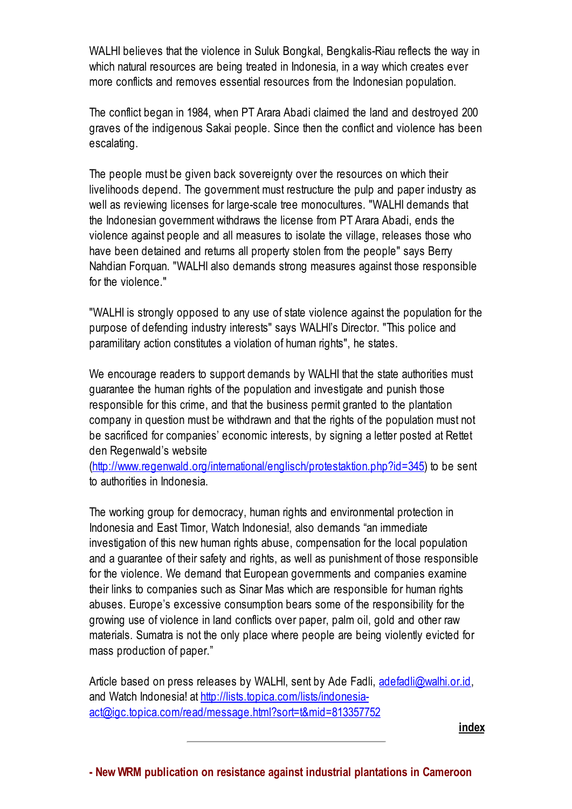WALHI believes that the violence in Suluk Bongkal, Bengkalis-Riau reflects the way in which natural resources are being treated in Indonesia, in a way which creates ever more conflicts and removes essential resources from the Indonesian population.

The conflict began in 1984, when PT Arara Abadi claimed the land and destroyed 200 graves of the indigenous Sakai people. Since then the conflict and violence has been escalating.

The people must be given back sovereignty over the resources on which their livelihoods depend. The government must restructure the pulp and paper industry as well as reviewing licenses for large-scale tree monocultures. "WALHI demands that the Indonesian government withdraws the license from PT Arara Abadi, ends the violence against people and all measures to isolate the village, releases those who have been detained and returns all property stolen from the people" says Berry Nahdian Forquan. "WALHI also demands strong measures against those responsible for the violence."

"WALHI is strongly opposed to any use of state violence against the population for the purpose of defending industry interests" says WALHI's Director. "This police and paramilitary action constitutes a violation of human rights", he states.

We encourage readers to support demands by WALHI that the state authorities must guarantee the human rights of the population and investigate and punish those responsible for this crime, and that the business permit granted to the plantation company in question must be withdrawn and that the rights of the population must not be sacrificed for companies' economic interests, by signing a letter posted at Rettet den Regenwald's website

[\(http://www.regenwald.org/international/englisch/protestaktion.php?id=345](http://www.regenwald.org/international/englisch/protestaktion.php?id=345)) to be sent to authorities in Indonesia.

The working group for democracy, human rights and environmental protection in Indonesia and East Timor, Watch Indonesia!, also demands "an immediate investigation of this new human rights abuse, compensation for the local population and a guarantee of their safety and rights, as well as punishment of those responsible for the violence. We demand that European governments and companies examine their links to companies such as Sinar Mas which are responsible for human rights abuses. Europe's excessive consumption bears some of the responsibility for the growing use of violence in land conflicts over paper, palm oil, gold and other raw materials. Sumatra is not the only place where people are being violently evicted for mass production of paper."

<span id="page-10-0"></span>Article based on press releases by WALHI, sent by Ade Fadli, [adefadli@walhi.or.id](mailto:adefadli@walhi.or.id), and Watch Indonesia! at http://lists.topica.com/lists/indonesia[act@igc.topica.com/read/message.html?sort=t&mid=813357752](http://lists.topica.com/lists/indonesia-act@igc.topica.com/read/message.html?sort=t&mid=813357752)

[index](#page-0-1)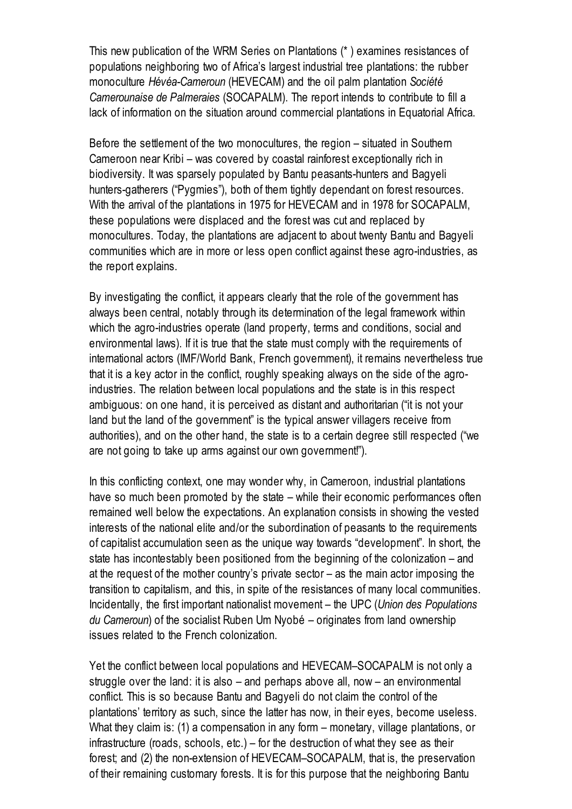This new publication of the WRM Series on Plantations (\* ) examines resistances of populations neighboring two of Africa's largest industrial tree plantations: the rubber monoculture Hévéa-Cameroun (HEVECAM) and the oil palm plantation Société Camerounaise de Palmeraies (SOCAPALM). The report intends to contribute to fill a lack of information on the situation around commercial plantations in Equatorial Africa.

Before the settlement of the two monocultures, the region – situated in Southern Cameroon near Kribi – was covered by coastal rainforest exceptionally rich in biodiversity. It was sparsely populated by Bantu peasants-hunters and Bagyeli hunters-gatherers ("Pygmies"), both of them tightly dependant on forest resources. With the arrival of the plantations in 1975 for HEVECAM and in 1978 for SOCAPALM, these populations were displaced and the forest was cut and replaced by monocultures. Today, the plantations are adjacent to about twenty Bantu and Bagyeli communities which are in more or less open conflict against these agro-industries, as the report explains.

By investigating the conflict, it appears clearly that the role of the government has always been central, notably through its determination of the legal framework within which the agro-industries operate (land property, terms and conditions, social and environmental laws). If it is true that the state must comply with the requirements of international actors (IMF/World Bank, French government), it remains nevertheless true that it is a key actor in the conflict, roughly speaking always on the side of the agroindustries. The relation between local populations and the state is in this respect ambiguous: on one hand, it is perceived as distant and authoritarian ("it is not your land but the land of the government" is the typical answer villagers receive from authorities), and on the other hand, the state is to a certain degree still respected ("we are not going to take up arms against our own government!").

In this conflicting context, one may wonder why, in Cameroon, industrial plantations have so much been promoted by the state – while their economic performances often remained well below the expectations. An explanation consists in showing the vested interests of the national elite and/or the subordination of peasants to the requirements of capitalist accumulation seen as the unique way towards "development". In short, the state has incontestably been positioned from the beginning of the colonization – and at the request of the mother country's private sector – as the main actor imposing the transition to capitalism, and this, in spite of the resistances of many local communities. Incidentally, the first important nationalist movement – the UPC (Union des Populations du Cameroun) of the socialist Ruben Um Nyobé – originates from land ownership issues related to the French colonization.

Yet the conflict between local populations and HEVECAM–SOCAPALM is not only a struggle over the land: it is also – and perhaps above all, now – an environmental conflict. This is so because Bantu and Bagyeli do not claim the control of the plantations' territory as such, since the latter has now, in their eyes, become useless. What they claim is: (1) a compensation in any form – monetary, village plantations, or infrastructure (roads, schools, etc.) – for the destruction of what they see as their forest; and (2) the non-extension of HEVECAM–SOCAPALM, that is, the preservation of their remaining customary forests. It is for this purpose that the neighboring Bantu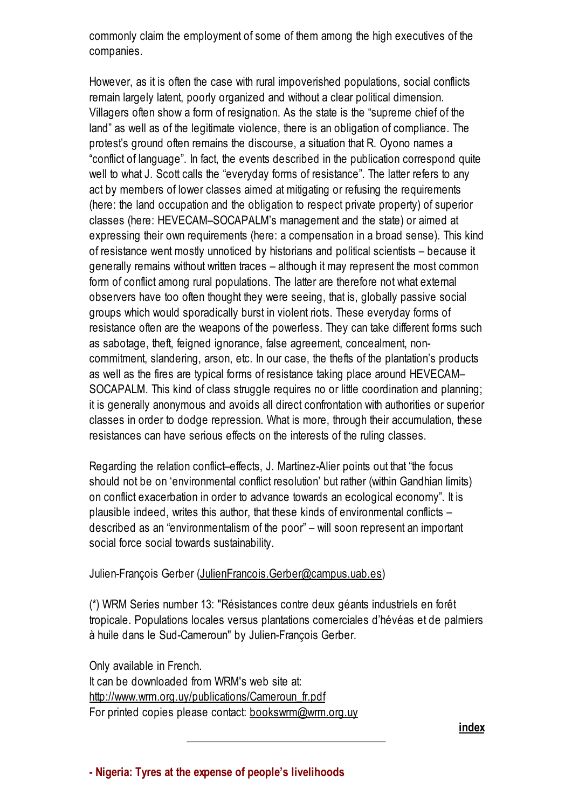commonly claim the employment of some of them among the high executives of the companies.

However, as it is often the case with rural impoverished populations, social conflicts remain largely latent, poorly organized and without a clear political dimension. Villagers often show a form of resignation. As the state is the "supreme chief of the land" as well as of the legitimate violence, there is an obligation of compliance. The protest's ground often remains the discourse, a situation that R. Oyono names a "conflict of language". In fact, the events described in the publication correspond quite well to what J. Scott calls the "everyday forms of resistance". The latter refers to any act by members of lower classes aimed at mitigating or refusing the requirements (here: the land occupation and the obligation to respect private property) of superior classes (here: HEVECAM–SOCAPALM's management and the state) or aimed at expressing their own requirements (here: a compensation in a broad sense). This kind of resistance went mostly unnoticed by historians and political scientists – because it generally remains without written traces – although it may represent the most common form of conflict among rural populations. The latter are therefore not what external observers have too often thought they were seeing, that is, globally passive social groups which would sporadically burst in violent riots. These everyday forms of resistance often are the weapons of the powerless. They can take different forms such as sabotage, theft, feigned ignorance, false agreement, concealment, noncommitment, slandering, arson, etc. In our case, the thefts of the plantation's products as well as the fires are typical forms of resistance taking place around HEVECAM– SOCAPALM. This kind of class struggle requires no or little coordination and planning; it is generally anonymous and avoids all direct confrontation with authorities or superior classes in order to dodge repression. What is more, through their accumulation, these resistances can have serious effects on the interests of the ruling classes.

Regarding the relation conflict–effects, J. Martínez-Alier points out that "the focus should not be on 'environmental conflict resolution' but rather (within Gandhian limits) on conflict exacerbation in order to advance towards an ecological economy". It is plausible indeed, writes this author, that these kinds of environmental conflicts – described as an "environmentalism of the poor" – will soon represent an important social force social towards sustainability.

#### Julien-François Gerber [\(JulienFrancois.Gerber@campus.uab.es](mailto:JulienFrancois.Gerber@campus.uab.es))

(\*) WRM Series number 13: "Résistances contre deux géants industriels en forêt tropicale. Populations locales versus plantations comerciales d'hévéas et de palmiers à huile dans le Sud-Cameroun" by Julien-François Gerber.

Only available in French.

<span id="page-12-0"></span>It can be downloaded from WRM's web site at: [http://www.wrm.org.uy/publications/Cameroun\\_fr.pdf](http://www.wrm.org.uy/publications/Cameroun_fr.pdf) For printed copies please contact: **[bookswrm@wrm.org.uy](mailto:bookswrm@wrm.org.uy)** 

[index](#page-0-1)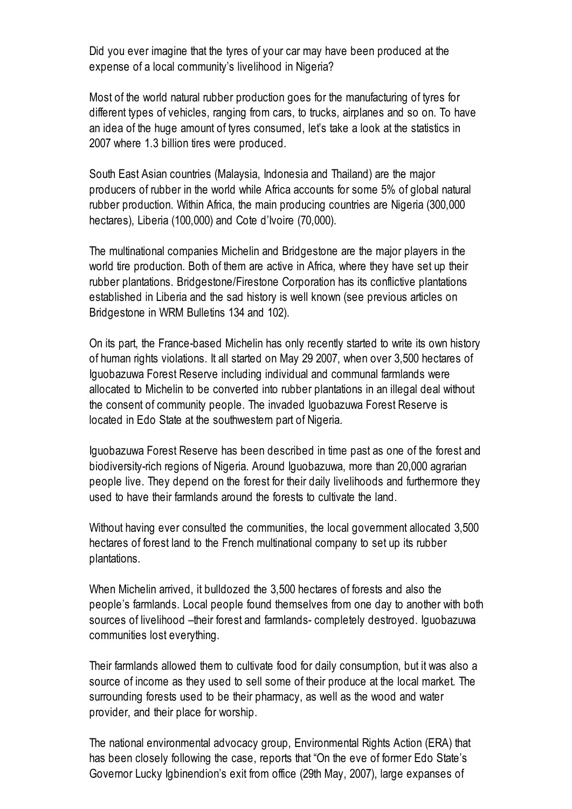Did you ever imagine that the tyres of your car may have been produced at the expense of a local community's livelihood in Nigeria?

Most of the world natural rubber production goes for the manufacturing of tyres for different types of vehicles, ranging from cars, to trucks, airplanes and so on. To have an idea of the huge amount of tyres consumed, let's take a look at the statistics in 2007 where 1.3 billion tires were produced.

South East Asian countries (Malaysia, Indonesia and Thailand) are the major producers of rubber in the world while Africa accounts for some 5% of global natural rubber production. Within Africa, the main producing countries are Nigeria (300,000 hectares), Liberia (100,000) and Cote d'Ivoire (70,000).

The multinational companies Michelin and Bridgestone are the major players in the world tire production. Both of them are active in Africa, where they have set up their rubber plantations. Bridgestone/Firestone Corporation has its conflictive plantations established in Liberia and the sad history is well known (see previous articles on Bridgestone in WRM Bulletins 134 and 102).

On its part, the France-based Michelin has only recently started to write its own history of human rights violations. It all started on May 29 2007, when over 3,500 hectares of Iguobazuwa Forest Reserve including individual and communal farmlands were allocated to Michelin to be converted into rubber plantations in an illegal deal without the consent of community people. The invaded Iguobazuwa Forest Reserve is located in Edo State at the southwestern part of Nigeria.

Iguobazuwa Forest Reserve has been described in time past as one of the forest and biodiversity-rich regions of Nigeria. Around Iguobazuwa, more than 20,000 agrarian people live. They depend on the forest for their daily livelihoods and furthermore they used to have their farmlands around the forests to cultivate the land.

Without having ever consulted the communities, the local government allocated 3,500 hectares of forest land to the French multinational company to set up its rubber plantations.

When Michelin arrived, it bulldozed the 3,500 hectares of forests and also the people's farmlands. Local people found themselves from one day to another with both sources of livelihood –their forest and farmlands- completely destroyed. Iguobazuwa communities lost everything.

Their farmlands allowed them to cultivate food for daily consumption, but it was also a source of income as they used to sell some of their produce at the local market. The surrounding forests used to be their pharmacy, as well as the wood and water provider, and their place for worship.

The national environmental advocacy group, Environmental Rights Action (ERA) that has been closely following the case, reports that "On the eve of former Edo State's Governor Lucky Igbinendion's exit from office (29th May, 2007), large expanses of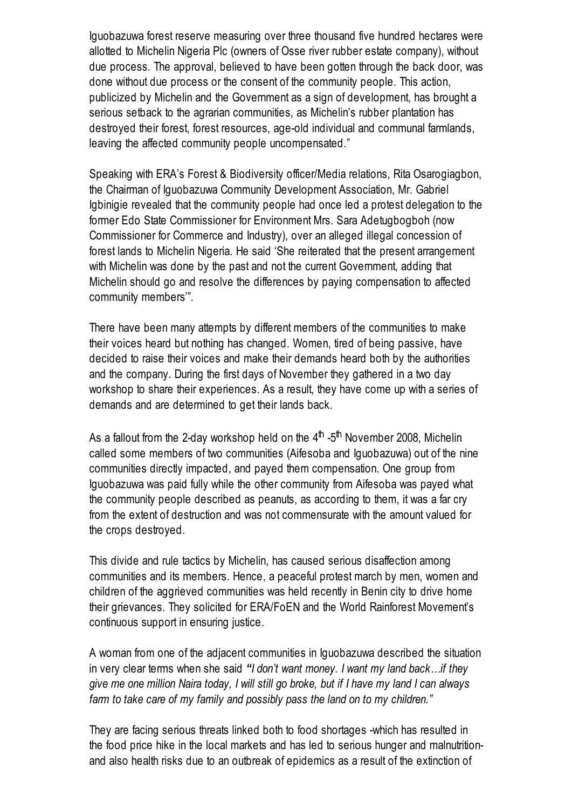Iguobazuwa forest reserve measuring over three thousand five hundred hectares were allotted to Michelin Nigeria Plc (owners of Osse river rubber estate company), without due process. The approval, believed to have been gotten through the back door, was done without due process or the consent of the community people. This action, publicized by Michelin and the Government as a sign of development, has brought a serious setback to the agrarian communities, as Michelin's rubber plantation has destroyed their forest, forest resources, age-old individual and communal farmlands, leaving the affected community people uncompensated."

Speaking with ERA's Forest & Biodiversity officer/Media relations, Rita Osarogiagbon, the Chairman of Iguobazuwa Community Development Association, Mr. Gabriel Igbinigie revealed that the community people had once led a protest delegation to the former Edo State Commissioner for Environment Mrs. Sara Adetugbogboh (now Commissioner for Commerce and Industry), over an alleged illegal concession of forest lands to Michelin Nigeria. He said 'She reiterated that the present arrangement with Michelin was done by the past and not the current Government, adding that Michelin should go and resolve the differences by paying compensation to affected community members'".

There have been many attempts by different members of the communities to make their voices heard but nothing has changed. Women, tired of being passive, have decided to raise their voices and make their demands heard both by the authorities and the company. During the first days of November they gathered in a two day workshop to share their experiences. As a result, they have come up with a series of demands and are determined to get their lands back.

As a fallout from the 2-day workshop held on the 4<sup>th</sup> -5<sup>th</sup> November 2008, Michelin called some members of two communities (Aifesoba and Iguobazuwa) out of the nine communities directly impacted, and payed them compensation. One group from Iguobazuwa was paid fully while the other community from Aifesoba was payed what the community people described as peanuts, as according to them, it was a far cry from the extent of destruction and was not commensurate with the amount valued for the crops destroyed.

This divide and rule tactics by Michelin, has caused serious disaffection among communities and its members. Hence, a peaceful protest march by men, women and children of the aggrieved communities was held recently in Benin city to drive home their grievances. They solicited for ERA/FoEN and the World Rainforest Movement's continuous support in ensuring justice.

A woman from one of the adjacent communities in Iguobazuwa described the situation in very clear terms when she said "I don't want money. I want my land back…if they give me one million Naira today, I will still go broke, but if I have my land I can always farm to take care of my family and possibly pass the land on to my children."

They are facing serious threats linked both to food shortages -which has resulted in the food price hike in the local markets and has led to serious hunger and malnutritionand also health risks due to an outbreak of epidemics as a result of the extinction of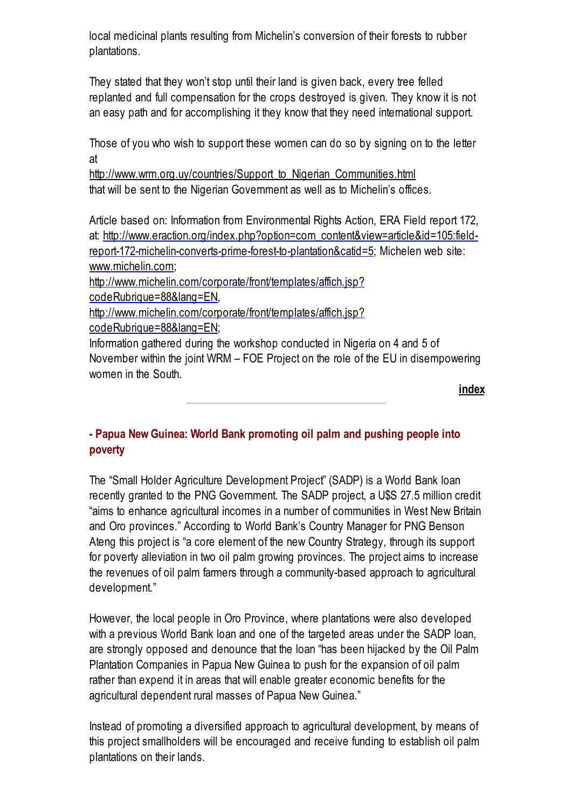local medicinal plants resulting from Michelin's conversion of their forests to rubber plantations.

They stated that they won't stop until their land is given back, every tree felled replanted and full compensation for the crops destroyed is given. They know it is not an easy path and for accomplishing it they know that they need international support.

Those of you who wish to support these women can do so by signing on to the letter at

[http://www.wrm.org.uy/countries/Support\\_to\\_Nigerian\\_Communities.html](http://www.wrm.org.uy/countries/Support_to_Nigerian_Communities.html) that will be sent to the Nigerian Government as well as to Michelin's offices.

Article based on: Information from Environmental Rights Action, ERA Field report 172, at: [http://www.eraction.org/index.php?option=com\\_content&view=article&id=105:field](http://www.eraction.org/index.php?option=com_content&view=article&id=105:field-report-172-michelin-converts-prime-forest-to-plantation&catid=5)report-172-michelin-converts-prime-forest-to-plantation&catid=5; Michelen web site: [www.michelin.com](http://www.michelin.com/);

[http://www.michelin.com/corporate/front/templates/affich.jsp?](http://www.michelin.com/corporate/front/templates/affich.jsp?codeRubrique=88&lang=EN)

codeRubrique=88&lang=EN,

[http://www.michelin.com/corporate/front/templates/affich.jsp?](http://www.michelin.com/corporate/front/templates/affich.jsp?codeRubrique=88&lang=EN)

codeRubrique=88&lang=EN;

Information gathered during the workshop conducted in Nigeria on 4 and 5 of November within the joint WRM – FOE Project on the role of the EU in disempowering women in the South.

[index](#page-0-1)

## <span id="page-15-0"></span>- Papua New Guinea: World Bank promoting oil palm and pushing people into poverty

The "Small Holder Agriculture Development Project" (SADP) is a World Bank loan recently granted to the PNG Government. The SADP project, a U\$S 27.5 million credit "aims to enhance agricultural incomes in a number of communities in West New Britain and Oro provinces." According to World Bank's Country Manager for PNG Benson Ateng this project is "a core element of the new Country Strategy, through its support for poverty alleviation in two oil palm growing provinces. The project aims to increase the revenues of oil palm farmers through a community-based approach to agricultural development."

However, the local people in Oro Province, where plantations were also developed with a previous World Bank loan and one of the targeted areas under the SADP loan, are strongly opposed and denounce that the loan "has been hijacked by the Oil Palm Plantation Companies in Papua New Guinea to push for the expansion of oil palm rather than expend it in areas that will enable greater economic benefits for the agricultural dependent rural masses of Papua New Guinea."

Instead of promoting a diversified approach to agricultural development, by means of this project smallholders will be encouraged and receive funding to establish oil palm plantations on their lands.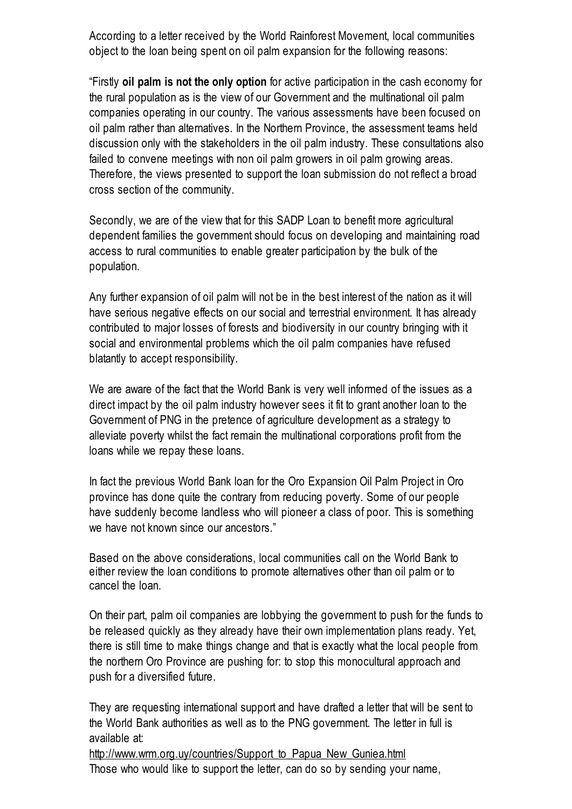According to a letter received by the World Rainforest Movement, local communities object to the loan being spent on oil palm expansion for the following reasons:

"Firstly oil palm is not the only option for active participation in the cash economy for the rural population as is the view of our Government and the multinational oil palm companies operating in our country. The various assessments have been focused on oil palm rather than alternatives. In the Northern Province, the assessment teams held discussion only with the stakeholders in the oil palm industry. These consultations also failed to convene meetings with non oil palm growers in oil palm growing areas. Therefore, the views presented to support the loan submission do not reflect a broad cross section of the community.

Secondly, we are of the view that for this SADP Loan to benefit more agricultural dependent families the government should focus on developing and maintaining road access to rural communities to enable greater participation by the bulk of the population.

Any further expansion of oil palm will not be in the best interest of the nation as it will have serious negative effects on our social and terrestrial environment. It has already contributed to major losses of forests and biodiversity in our country bringing with it social and environmental problems which the oil palm companies have refused blatantly to accept responsibility.

We are aware of the fact that the World Bank is very well informed of the issues as a direct impact by the oil palm industry however sees it fit to grant another loan to the Government of PNG in the pretence of agriculture development as a strategy to alleviate poverty whilst the fact remain the multinational corporations profit from the loans while we repay these loans.

In fact the previous World Bank loan for the Oro Expansion Oil Palm Project in Oro province has done quite the contrary from reducing poverty. Some of our people have suddenly become landless who will pioneer a class of poor. This is something we have not known since our ancestors."

Based on the above considerations, local communities call on the World Bank to either review the loan conditions to promote alternatives other than oil palm or to cancel the loan.

On their part, palm oil companies are lobbying the government to push for the funds to be released quickly as they already have their own implementation plans ready. Yet, there is still time to make things change and that is exactly what the local people from the northern Oro Province are pushing for: to stop this monocultural approach and push for a diversified future.

They are requesting international support and have drafted a letter that will be sent to the World Bank authorities as well as to the PNG government. The letter in full is available at:

http://www.wrm.org.uy/countries/Support to Papua New Guniea.html Those who would like to support the letter, can do so by sending your name,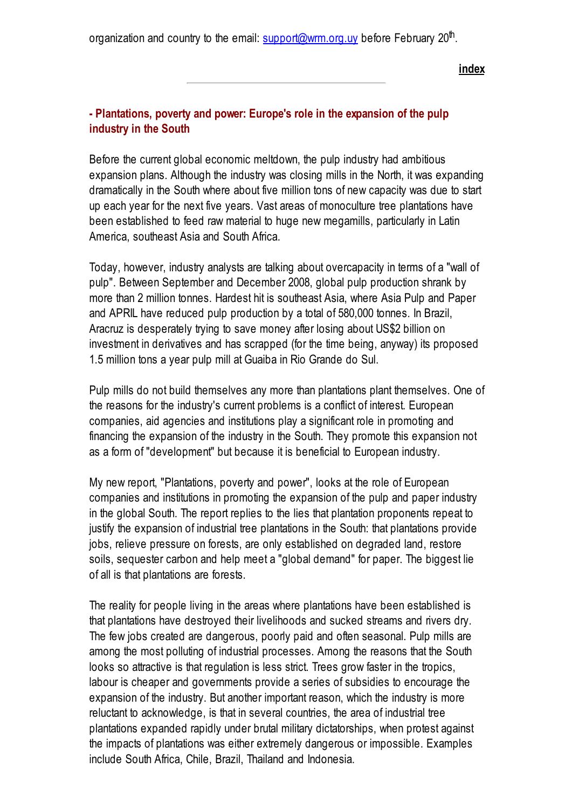organization and country to the email: <u>[support@wrm.org.uy](mailto:support@wrm.org.uy)</u> before February 20<sup>th</sup>.

[index](#page-0-1)

#### <span id="page-17-0"></span>- Plantations, poverty and power: Europe's role in the expansion of the pulp industry in the South

Before the current global economic meltdown, the pulp industry had ambitious expansion plans. Although the industry was closing mills in the North, it was expanding dramatically in the South where about five million tons of new capacity was due to start up each year for the next five years. Vast areas of monoculture tree plantations have been established to feed raw material to huge new megamills, particularly in Latin America, southeast Asia and South Africa.

Today, however, industry analysts are talking about overcapacity in terms of a "wall of pulp". Between September and December 2008, global pulp production shrank by more than 2 million tonnes. Hardest hit is southeast Asia, where Asia Pulp and Paper and APRIL have reduced pulp production by a total of 580,000 tonnes. In Brazil, Aracruz is desperately trying to save money after losing about US\$2 billion on investment in derivatives and has scrapped (for the time being, anyway) its proposed 1.5 million tons a year pulp mill at Guaiba in Rio Grande do Sul.

Pulp mills do not build themselves any more than plantations plant themselves. One of the reasons for the industry's current problems is a conflict of interest. European companies, aid agencies and institutions play a significant role in promoting and financing the expansion of the industry in the South. They promote this expansion not as a form of "development" but because it is beneficial to European industry.

My new report, "Plantations, poverty and power", looks at the role of European companies and institutions in promoting the expansion of the pulp and paper industry in the global South. The report replies to the lies that plantation proponents repeat to justify the expansion of industrial tree plantations in the South: that plantations provide jobs, relieve pressure on forests, are only established on degraded land, restore soils, sequester carbon and help meet a "global demand" for paper. The biggest lie of all is that plantations are forests.

The reality for people living in the areas where plantations have been established is that plantations have destroyed their livelihoods and sucked streams and rivers dry. The few jobs created are dangerous, poorly paid and often seasonal. Pulp mills are among the most polluting of industrial processes. Among the reasons that the South looks so attractive is that regulation is less strict. Trees grow faster in the tropics, labour is cheaper and governments provide a series of subsidies to encourage the expansion of the industry. But another important reason, which the industry is more reluctant to acknowledge, is that in several countries, the area of industrial tree plantations expanded rapidly under brutal military dictatorships, when protest against the impacts of plantations was either extremely dangerous or impossible. Examples include South Africa, Chile, Brazil, Thailand and Indonesia.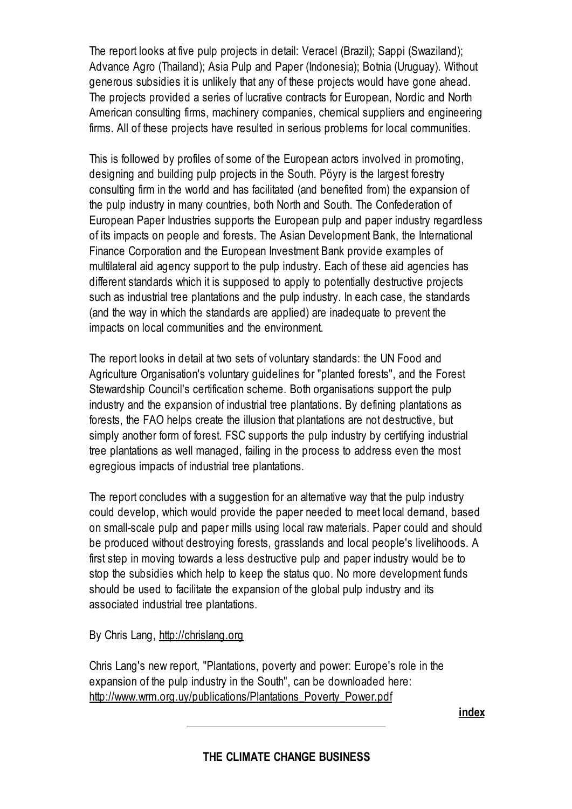The report looks at five pulp projects in detail: Veracel (Brazil); Sappi (Swaziland); Advance Agro (Thailand); Asia Pulp and Paper (Indonesia); Botnia (Uruguay). Without generous subsidies it is unlikely that any of these projects would have gone ahead. The projects provided a series of lucrative contracts for European, Nordic and North American consulting firms, machinery companies, chemical suppliers and engineering firms. All of these projects have resulted in serious problems for local communities.

This is followed by profiles of some of the European actors involved in promoting, designing and building pulp projects in the South. Pöyry is the largest forestry consulting firm in the world and has facilitated (and benefited from) the expansion of the pulp industry in many countries, both North and South. The Confederation of European Paper Industries supports the European pulp and paper industry regardless of its impacts on people and forests. The Asian Development Bank, the International Finance Corporation and the European Investment Bank provide examples of multilateral aid agency support to the pulp industry. Each of these aid agencies has different standards which it is supposed to apply to potentially destructive projects such as industrial tree plantations and the pulp industry. In each case, the standards (and the way in which the standards are applied) are inadequate to prevent the impacts on local communities and the environment.

The report looks in detail at two sets of voluntary standards: the UN Food and Agriculture Organisation's voluntary guidelines for "planted forests", and the Forest Stewardship Council's certification scheme. Both organisations support the pulp industry and the expansion of industrial tree plantations. By defining plantations as forests, the FAO helps create the illusion that plantations are not destructive, but simply another form of forest. FSC supports the pulp industry by certifying industrial tree plantations as well managed, failing in the process to address even the most egregious impacts of industrial tree plantations.

The report concludes with a suggestion for an alternative way that the pulp industry could develop, which would provide the paper needed to meet local demand, based on small-scale pulp and paper mills using local raw materials. Paper could and should be produced without destroying forests, grasslands and local people's livelihoods. A first step in moving towards a less destructive pulp and paper industry would be to stop the subsidies which help to keep the status quo. No more development funds should be used to facilitate the expansion of the global pulp industry and its associated industrial tree plantations.

By Chris Lang, [http://chrislang.org](http://chrislang.org/)

Chris Lang's new report, "Plantations, poverty and power: Europe's role in the expansion of the pulp industry in the South", can be downloaded here: [http://www.wrm.org.uy/publications/Plantations\\_Poverty\\_Power.pdf](http://www.wrm.org.uy/publications/Plantations_Poverty_Power.pdf)

[index](#page-0-1)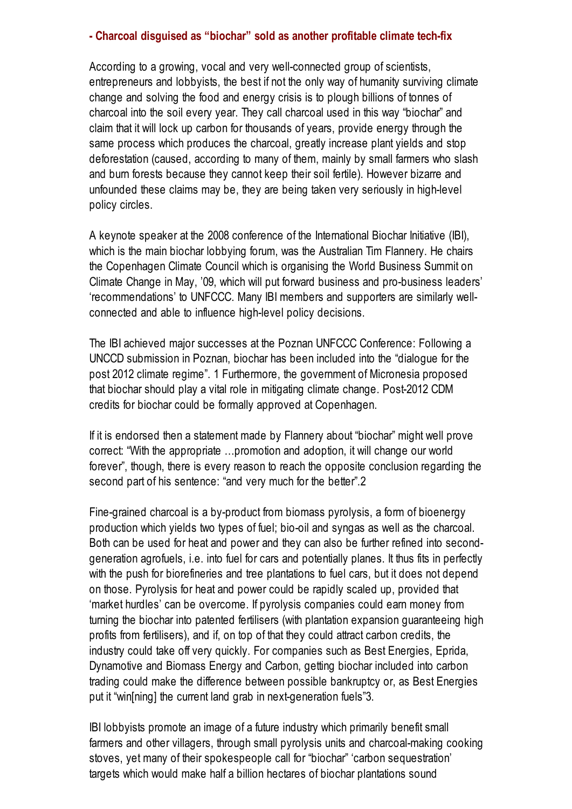#### <span id="page-19-0"></span>- Charcoal disguised as "biochar" sold as another profitable climate tech-fix

According to a growing, vocal and very well-connected group of scientists, entrepreneurs and lobbyists, the best if not the only way of humanity surviving climate change and solving the food and energy crisis is to plough billions of tonnes of charcoal into the soil every year. They call charcoal used in this way "biochar" and claim that it will lock up carbon for thousands of years, provide energy through the same process which produces the charcoal, greatly increase plant yields and stop deforestation (caused, according to many of them, mainly by small farmers who slash and burn forests because they cannot keep their soil fertile). However bizarre and unfounded these claims may be, they are being taken very seriously in high-level policy circles.

A keynote speaker at the 2008 conference of the International Biochar Initiative (IBI), which is the main biochar lobbying forum, was the Australian Tim Flannery. He chairs the Copenhagen Climate Council which is organising the World Business Summit on Climate Change in May, '09, which will put forward business and pro-business leaders' 'recommendations' to UNFCCC. Many IBI members and supporters are similarly wellconnected and able to influence high-level policy decisions.

The IBI achieved major successes at the Poznan UNFCCC Conference: Following a UNCCD submission in Poznan, biochar has been included into the "dialogue for the post 2012 climate regime". 1 Furthermore, the government of Micronesia proposed that biochar should play a vital role in mitigating climate change. Post-2012 CDM credits for biochar could be formally approved at Copenhagen.

If it is endorsed then a statement made by Flannery about "biochar" might well prove correct: "With the appropriate …promotion and adoption, it will change our world forever", though, there is every reason to reach the opposite conclusion regarding the second part of his sentence: "and very much for the better".2

Fine-grained charcoal is a by-product from biomass pyrolysis, a form of bioenergy production which yields two types of fuel; bio-oil and syngas as well as the charcoal. Both can be used for heat and power and they can also be further refined into secondgeneration agrofuels, i.e. into fuel for cars and potentially planes. It thus fits in perfectly with the push for biorefineries and tree plantations to fuel cars, but it does not depend on those. Pyrolysis for heat and power could be rapidly scaled up, provided that 'market hurdles' can be overcome. If pyrolysis companies could earn money from turning the biochar into patented fertilisers (with plantation expansion guaranteeing high profits from fertilisers), and if, on top of that they could attract carbon credits, the industry could take off very quickly. For companies such as Best Energies, Eprida, Dynamotive and Biomass Energy and Carbon, getting biochar included into carbon trading could make the difference between possible bankruptcy or, as Best Energies put it "win[ning] the current land grab in next-generation fuels"3.

IBI lobbyists promote an image of a future industry which primarily benefit small farmers and other villagers, through small pyrolysis units and charcoal-making cooking stoves, yet many of their spokespeople call for "biochar" 'carbon sequestration' targets which would make half a billion hectares of biochar plantations sound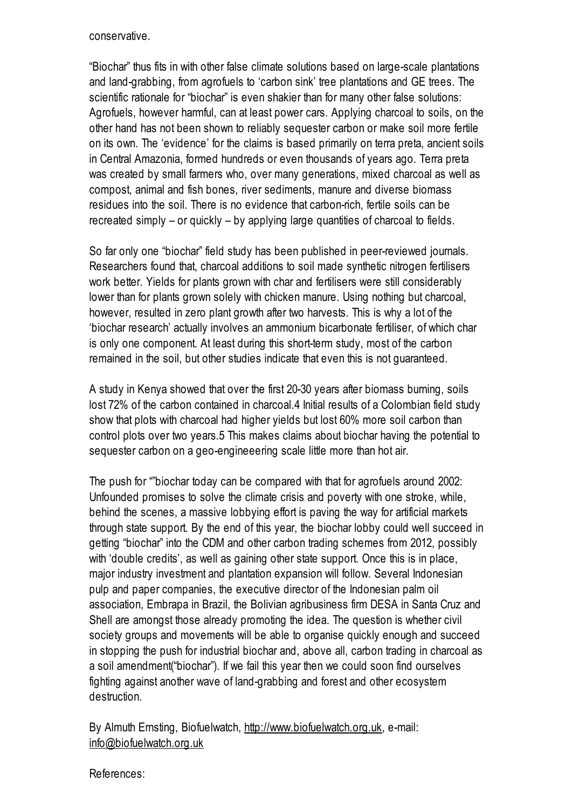#### conservative.

"Biochar" thus fits in with other false climate solutions based on large-scale plantations and land-grabbing, from agrofuels to 'carbon sink' tree plantations and GE trees. The scientific rationale for "biochar" is even shakier than for many other false solutions: Agrofuels, however harmful, can at least power cars. Applying charcoal to soils, on the other hand has not been shown to reliably sequester carbon or make soil more fertile on its own. The 'evidence' for the claims is based primarily on terra preta, ancient soils in Central Amazonia, formed hundreds or even thousands of years ago. Terra preta was created by small farmers who, over many generations, mixed charcoal as well as compost, animal and fish bones, river sediments, manure and diverse biomass residues into the soil. There is no evidence that carbon-rich, fertile soils can be recreated simply – or quickly – by applying large quantities of charcoal to fields.

So far only one "biochar" field study has been published in peer-reviewed journals. Researchers found that, charcoal additions to soil made synthetic nitrogen fertilisers work better. Yields for plants grown with char and fertilisers were still considerably lower than for plants grown solely with chicken manure. Using nothing but charcoal, however, resulted in zero plant growth after two harvests. This is why a lot of the 'biochar research' actually involves an ammonium bicarbonate fertiliser, of which char is only one component. At least during this short-term study, most of the carbon remained in the soil, but other studies indicate that even this is not guaranteed.

A study in Kenya showed that over the first 20-30 years after biomass burning, soils lost 72% of the carbon contained in charcoal.4 Initial results of a Colombian field study show that plots with charcoal had higher yields but lost 60% more soil carbon than control plots over two years.5 This makes claims about biochar having the potential to sequester carbon on a geo-engineeering scale little more than hot air.

The push for ""biochar today can be compared with that for agrofuels around 2002: Unfounded promises to solve the climate crisis and poverty with one stroke, while, behind the scenes, a massive lobbying effort is paving the way for artificial markets through state support. By the end of this year, the biochar lobby could well succeed in getting "biochar" into the CDM and other carbon trading schemes from 2012, possibly with 'double credits', as well as gaining other state support. Once this is in place, major industry investment and plantation expansion will follow. Several Indonesian pulp and paper companies, the executive director of the Indonesian palm oil association, Embrapa in Brazil, the Bolivian agribusiness firm DESA in Santa Cruz and Shell are amongst those already promoting the idea. The question is whether civil society groups and movements will be able to organise quickly enough and succeed in stopping the push for industrial biochar and, above all, carbon trading in charcoal as a soil amendment("biochar"). If we fail this year then we could soon find ourselves fighting against another wave of land-grabbing and forest and other ecosystem destruction.

By Almuth Ernsting, Biofuelwatch, [http://www.biofuelwatch.org.uk](http://www.biofuelwatch.org.uk/), e-mail: [info@biofuelwatch.org.uk](mailto:info@biofuelwatch.org.uk)

References: